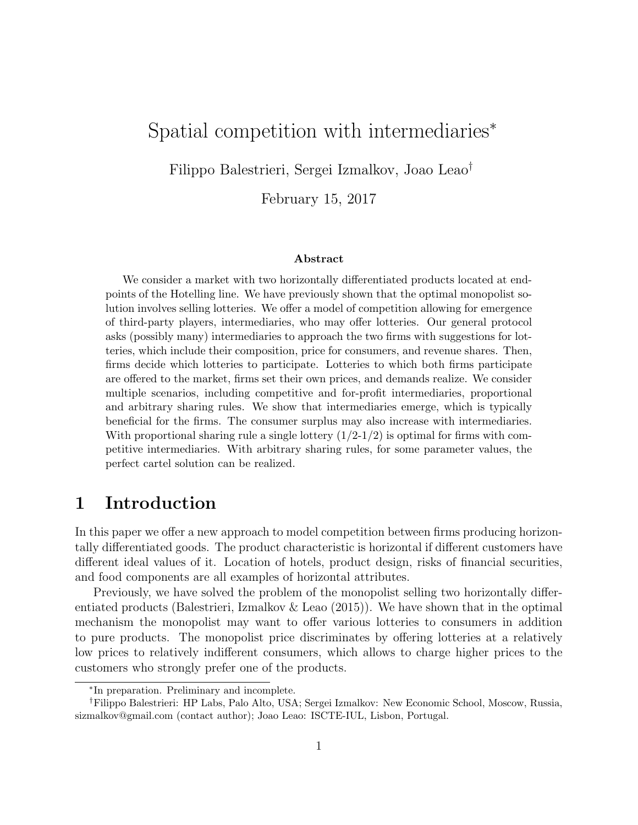# Spatial competition with intermediaries<sup>∗</sup>

Filippo Balestrieri, Sergei Izmalkov, Joao Leao†

February 15, 2017

#### Abstract

We consider a market with two horizontally differentiated products located at endpoints of the Hotelling line. We have previously shown that the optimal monopolist solution involves selling lotteries. We offer a model of competition allowing for emergence of third-party players, intermediaries, who may offer lotteries. Our general protocol asks (possibly many) intermediaries to approach the two firms with suggestions for lotteries, which include their composition, price for consumers, and revenue shares. Then, firms decide which lotteries to participate. Lotteries to which both firms participate are offered to the market, firms set their own prices, and demands realize. We consider multiple scenarios, including competitive and for-profit intermediaries, proportional and arbitrary sharing rules. We show that intermediaries emerge, which is typically beneficial for the firms. The consumer surplus may also increase with intermediaries. With proportional sharing rule a single lottery  $(1/2-1/2)$  is optimal for firms with competitive intermediaries. With arbitrary sharing rules, for some parameter values, the perfect cartel solution can be realized.

## 1 Introduction

In this paper we offer a new approach to model competition between firms producing horizontally differentiated goods. The product characteristic is horizontal if different customers have different ideal values of it. Location of hotels, product design, risks of financial securities, and food components are all examples of horizontal attributes.

Previously, we have solved the problem of the monopolist selling two horizontally differentiated products (Balestrieri, Izmalkov & Leao (2015)). We have shown that in the optimal mechanism the monopolist may want to offer various lotteries to consumers in addition to pure products. The monopolist price discriminates by offering lotteries at a relatively low prices to relatively indifferent consumers, which allows to charge higher prices to the customers who strongly prefer one of the products.

<sup>∗</sup> In preparation. Preliminary and incomplete.

<sup>†</sup>Filippo Balestrieri: HP Labs, Palo Alto, USA; Sergei Izmalkov: New Economic School, Moscow, Russia, sizmalkov@gmail.com (contact author); Joao Leao: ISCTE-IUL, Lisbon, Portugal.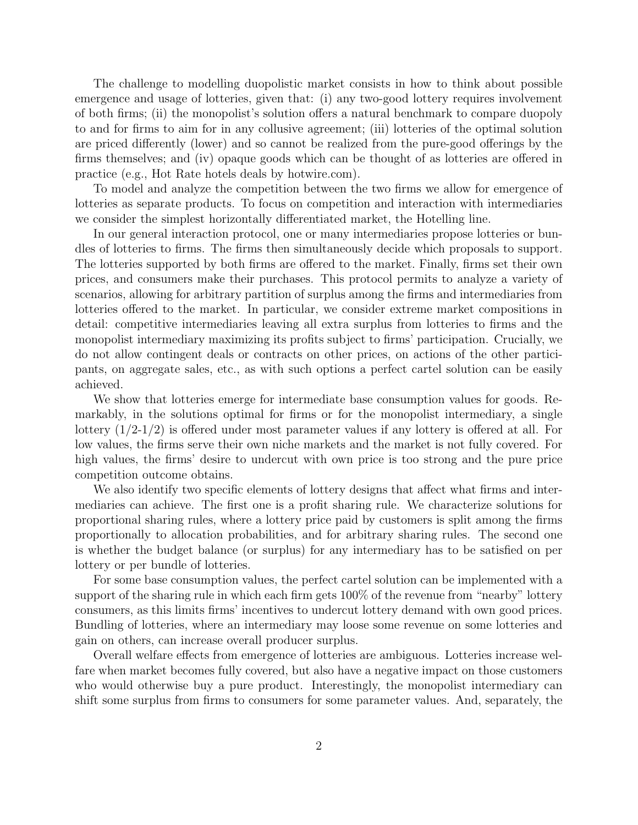The challenge to modelling duopolistic market consists in how to think about possible emergence and usage of lotteries, given that: (i) any two-good lottery requires involvement of both firms; (ii) the monopolist's solution offers a natural benchmark to compare duopoly to and for firms to aim for in any collusive agreement; (iii) lotteries of the optimal solution are priced differently (lower) and so cannot be realized from the pure-good offerings by the firms themselves; and (iv) opaque goods which can be thought of as lotteries are offered in practice (e.g., Hot Rate hotels deals by hotwire.com).

To model and analyze the competition between the two firms we allow for emergence of lotteries as separate products. To focus on competition and interaction with intermediaries we consider the simplest horizontally differentiated market, the Hotelling line.

In our general interaction protocol, one or many intermediaries propose lotteries or bundles of lotteries to firms. The firms then simultaneously decide which proposals to support. The lotteries supported by both firms are offered to the market. Finally, firms set their own prices, and consumers make their purchases. This protocol permits to analyze a variety of scenarios, allowing for arbitrary partition of surplus among the firms and intermediaries from lotteries offered to the market. In particular, we consider extreme market compositions in detail: competitive intermediaries leaving all extra surplus from lotteries to firms and the monopolist intermediary maximizing its profits subject to firms' participation. Crucially, we do not allow contingent deals or contracts on other prices, on actions of the other participants, on aggregate sales, etc., as with such options a perfect cartel solution can be easily achieved.

We show that lotteries emerge for intermediate base consumption values for goods. Remarkably, in the solutions optimal for firms or for the monopolist intermediary, a single lottery  $(1/2-1/2)$  is offered under most parameter values if any lottery is offered at all. For low values, the firms serve their own niche markets and the market is not fully covered. For high values, the firms' desire to undercut with own price is too strong and the pure price competition outcome obtains.

We also identify two specific elements of lottery designs that affect what firms and intermediaries can achieve. The first one is a profit sharing rule. We characterize solutions for proportional sharing rules, where a lottery price paid by customers is split among the firms proportionally to allocation probabilities, and for arbitrary sharing rules. The second one is whether the budget balance (or surplus) for any intermediary has to be satisfied on per lottery or per bundle of lotteries.

For some base consumption values, the perfect cartel solution can be implemented with a support of the sharing rule in which each firm gets 100% of the revenue from "nearby" lottery consumers, as this limits firms' incentives to undercut lottery demand with own good prices. Bundling of lotteries, where an intermediary may loose some revenue on some lotteries and gain on others, can increase overall producer surplus.

Overall welfare effects from emergence of lotteries are ambiguous. Lotteries increase welfare when market becomes fully covered, but also have a negative impact on those customers who would otherwise buy a pure product. Interestingly, the monopolist intermediary can shift some surplus from firms to consumers for some parameter values. And, separately, the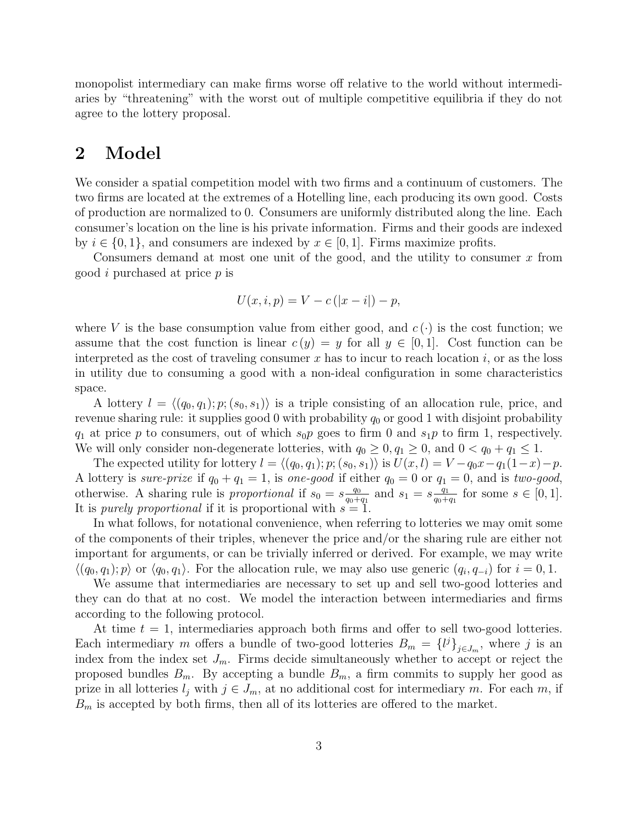monopolist intermediary can make firms worse off relative to the world without intermediaries by "threatening" with the worst out of multiple competitive equilibria if they do not agree to the lottery proposal.

### 2 Model

We consider a spatial competition model with two firms and a continuum of customers. The two firms are located at the extremes of a Hotelling line, each producing its own good. Costs of production are normalized to 0. Consumers are uniformly distributed along the line. Each consumer's location on the line is his private information. Firms and their goods are indexed by  $i \in \{0, 1\}$ , and consumers are indexed by  $x \in [0, 1]$ . Firms maximize profits.

Consumers demand at most one unit of the good, and the utility to consumer  $x$  from good i purchased at price p is

$$
U(x, i, p) = V - c(|x - i|) - p,
$$

where V is the base consumption value from either good, and  $c(\cdot)$  is the cost function; we assume that the cost function is linear  $c(y) = y$  for all  $y \in [0,1]$ . Cost function can be interpreted as the cost of traveling consumer x has to incur to reach location  $i$ , or as the loss in utility due to consuming a good with a non-ideal configuration in some characteristics space.

A lottery  $l = \langle (q_0, q_1); p; (s_0, s_1) \rangle$  is a triple consisting of an allocation rule, price, and revenue sharing rule: it supplies good 0 with probability  $q_0$  or good 1 with disjoint probability  $q_1$  at price p to consumers, out of which  $s_0p$  goes to firm 0 and  $s_1p$  to firm 1, respectively. We will only consider non-degenerate lotteries, with  $q_0 \geq 0, q_1 \geq 0$ , and  $0 < q_0 + q_1 \leq 1$ .

The expected utility for lottery  $l = \langle (q_0, q_1); p; (s_0, s_1) \rangle$  is  $U(x, l) = V - q_0x - q_1(1-x) - p$ . A lottery is sure-prize if  $q_0 + q_1 = 1$ , is one-good if either  $q_0 = 0$  or  $q_1 = 0$ , and is two-good, otherwise. A sharing rule is proportional if  $s_0 = s \frac{q_0}{q_0 + q_0}$  $\frac{q_0}{q_0+q_1}$  and  $s_1 = s \frac{q_1}{q_0+q_1}$  $\frac{q_1}{q_0+q_1}$  for some  $s \in [0,1]$ . It is *purely proportional* if it is proportional with  $s = 1$ .

In what follows, for notational convenience, when referring to lotteries we may omit some of the components of their triples, whenever the price and/or the sharing rule are either not important for arguments, or can be trivially inferred or derived. For example, we may write  $\langle (q_0, q_1); p \rangle$  or  $\langle q_0, q_1 \rangle$ . For the allocation rule, we may also use generic  $(q_i, q_{-i})$  for  $i = 0, 1$ .

We assume that intermediaries are necessary to set up and sell two-good lotteries and they can do that at no cost. We model the interaction between intermediaries and firms according to the following protocol.

At time  $t = 1$ , intermediaries approach both firms and offer to sell two-good lotteries. Each intermediary m offers a bundle of two-good lotteries  $B_m = \{l^j\}_{j \in J_m}$ , where j is an index from the index set  $J_m$ . Firms decide simultaneously whether to accept or reject the proposed bundles  $B_m$ . By accepting a bundle  $B_m$ , a firm commits to supply her good as prize in all lotteries  $l_j$  with  $j \in J_m$ , at no additional cost for intermediary m. For each m, if  $B<sub>m</sub>$  is accepted by both firms, then all of its lotteries are offered to the market.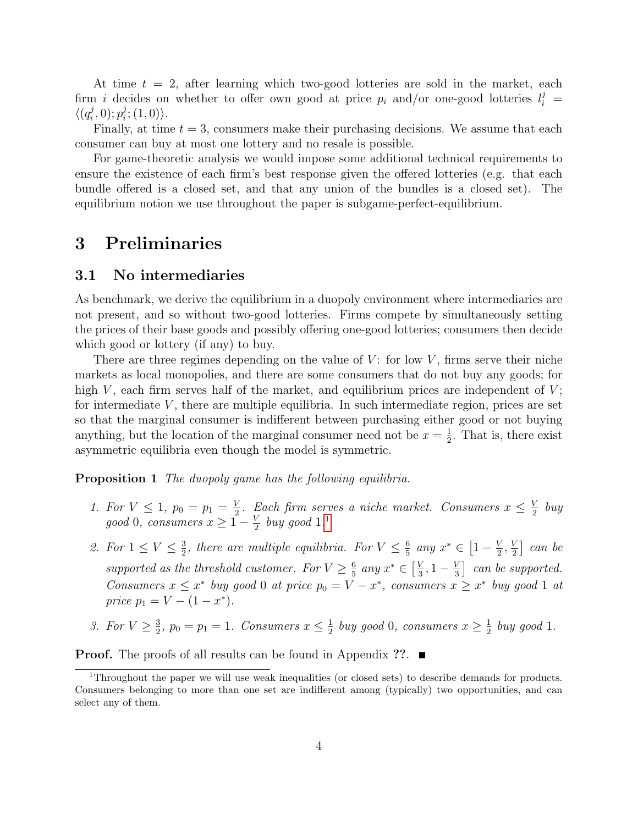At time  $t = 2$ , after learning which two-good lotteries are sold in the market, each firm i decides on whether to offer own good at price  $p_i$  and/or one-good lotteries  $l_i^j$  =  $\langle (q_i^j$  $(i, 0); p_i^j$  $i^j$ ;  $(1,0)$ .

Finally, at time  $t = 3$ , consumers make their purchasing decisions. We assume that each consumer can buy at most one lottery and no resale is possible.

For game-theoretic analysis we would impose some additional technical requirements to ensure the existence of each firm's best response given the offered lotteries (e.g. that each bundle offered is a closed set, and that any union of the bundles is a closed set). The equilibrium notion we use throughout the paper is subgame-perfect-equilibrium.

### 3 Preliminaries

#### 3.1 No intermediaries

As benchmark, we derive the equilibrium in a duopoly environment where intermediaries are not present, and so without two-good lotteries. Firms compete by simultaneously setting the prices of their base goods and possibly offering one-good lotteries; consumers then decide which good or lottery (if any) to buy.

There are three regimes depending on the value of  $V$ : for low  $V$ , firms serve their niche markets as local monopolies, and there are some consumers that do not buy any goods; for high  $V$ , each firm serves half of the market, and equilibrium prices are independent of  $V$ ; for intermediate  $V$ , there are multiple equilibria. In such intermediate region, prices are set so that the marginal consumer is indifferent between purchasing either good or not buying anything, but the location of the marginal consumer need not be  $x=\frac{1}{2}$  $\frac{1}{2}$ . That is, there exist asymmetric equilibria even though the model is symmetric.

<span id="page-3-1"></span>**Proposition 1** The duopoly game has the following equilibria.

- 1. For  $V \leq 1$ ,  $p_0 = p_1 = \frac{V}{2}$  $\frac{V}{2}$ . Each firm serves a niche market. Consumers  $x \leq \frac{V}{2}$  $\frac{V}{2}$  buy good 0, consumers  $x \geq 1 - \frac{V}{2}$  $\frac{V}{2}$  buy good [1](#page-3-0).<sup>1</sup>
- 2. For  $1 \leq V \leq \frac{3}{2}$  $\frac{3}{2}$ , there are multiple equilibria. For  $V \leq \frac{6}{5}$  $\frac{6}{5}$  any  $x^* \in \left[1 - \frac{V}{2}\right]$  $\frac{V}{2}, \frac{V}{2}$  $\frac{V}{2}$  can be supported as the threshold customer. For  $V \geq \frac{6}{5}$  $rac{6}{5}$  any  $x^* \in \left[\frac{V}{3}\right]$  $\frac{V}{3}$ , 1 –  $\frac{V}{3}$  $\frac{V}{3}$  can be supported. Consumers  $x \leq x^*$  buy good 0 at price  $p_0 = V - x^*$ , consumers  $x \geq x^*$  buy good 1 at price  $p_1 = V - (1 - x^*).$
- 3. For  $V \geq \frac{3}{2}$  $\frac{3}{2}$ ,  $p_0 = p_1 = 1$ . Consumers  $x \leq \frac{1}{2}$  $\frac{1}{2}$  buy good 0, consumers  $x \geq \frac{1}{2}$  $rac{1}{2}$  buy good 1.

**Proof.** The proofs of all results can be found in Appendix ??.  $\blacksquare$ 

<span id="page-3-0"></span><sup>1</sup>Throughout the paper we will use weak inequalities (or closed sets) to describe demands for products. Consumers belonging to more than one set are indifferent among (typically) two opportunities, and can select any of them.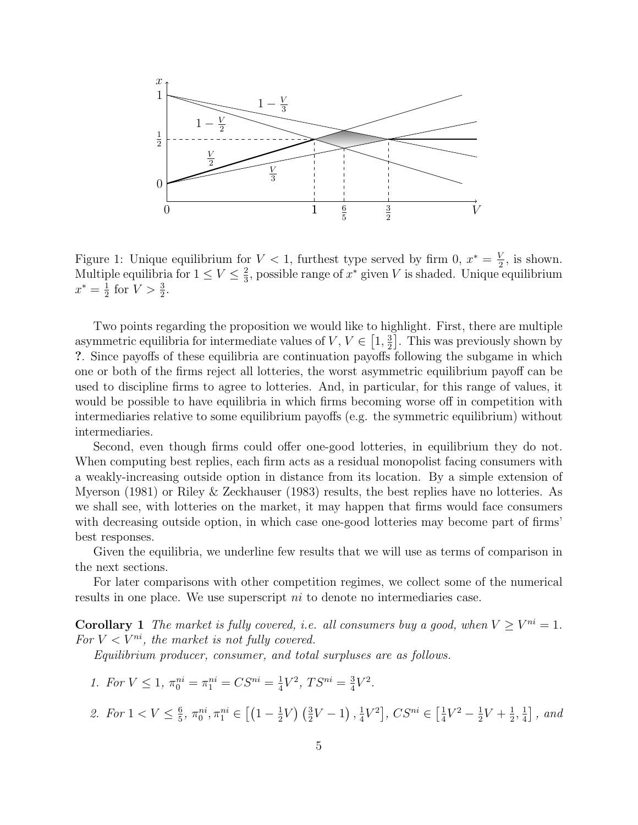

Figure 1: Unique equilibrium for  $V < 1$ , furthest type served by firm 0,  $x^* = \frac{V}{2}$  $\frac{V}{2}$ , is shown. Multiple equilibria for  $1 \leq V \leq \frac{2}{3}$  $\frac{2}{3}$ , possible range of  $x^*$  given V is shaded. Unique equilibrium  $x^*=\frac{1}{2}$  $\frac{1}{2}$  for  $V > \frac{3}{2}$ .

Two points regarding the proposition we would like to highlight. First, there are multiple asymmetric equilibria for intermediate values of  $V, V \in [1, \frac{3}{2}]$  $\frac{3}{2}$ . This was previously shown by ?. Since payoffs of these equilibria are continuation payoffs following the subgame in which one or both of the firms reject all lotteries, the worst asymmetric equilibrium payoff can be used to discipline firms to agree to lotteries. And, in particular, for this range of values, it would be possible to have equilibria in which firms becoming worse off in competition with intermediaries relative to some equilibrium payoffs (e.g. the symmetric equilibrium) without intermediaries.

Second, even though firms could offer one-good lotteries, in equilibrium they do not. When computing best replies, each firm acts as a residual monopolist facing consumers with a weakly-increasing outside option in distance from its location. By a simple extension of Myerson (1981) or Riley & Zeckhauser (1983) results, the best replies have no lotteries. As we shall see, with lotteries on the market, it may happen that firms would face consumers with decreasing outside option, in which case one-good lotteries may become part of firms' best responses.

Given the equilibria, we underline few results that we will use as terms of comparison in the next sections.

For later comparisons with other competition regimes, we collect some of the numerical results in one place. We use superscript ni to denote no intermediaries case.

**Corollary 1** The market is fully covered, i.e. all consumers buy a good, when  $V \geq V^{ni} = 1$ . For  $V < V^{ni}$ , the market is not fully covered.

Equilibrium producer, consumer, and total surpluses are as follows.

- 1. For  $V \leq 1$ ,  $\pi_0^{ni} = \pi_1^{ni} = CS^{ni} = \frac{1}{4}$  $\frac{1}{4}V^2$ ,  $TS^{ni} = \frac{3}{4}$  $\frac{3}{4}V^2$ .
- 2. For  $1 < V \leq \frac{6}{5}$  $\frac{6}{5}$ ,  $\pi_0^{ni}$ ,  $\pi_1^{ni}$   $\in$   $\left[$   $\left(1-\frac{1}{2}\right)$  $\frac{1}{2}V\big)\left(\frac{3}{2}V-1\right),\frac{1}{4}$  $\frac{1}{4}V^2$ ,  $CS^{ni} \in \left[\frac{1}{4}\right]$  $\frac{1}{4}V^2 - \frac{1}{2}$  $\frac{1}{2}V + \frac{1}{2}$  $\frac{1}{2}, \frac{1}{4}$  $\frac{1}{4}$ , and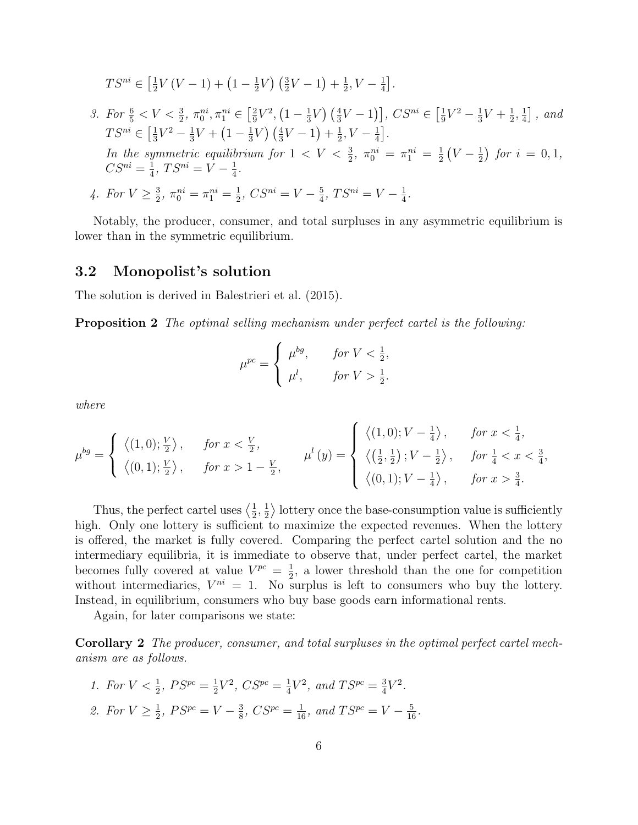$$
TS^{ni} \in \left[\frac{1}{2}V(V-1) + (1 - \frac{1}{2}V)\left(\frac{3}{2}V - 1\right) + \frac{1}{2}, V - \frac{1}{4}\right].
$$

3. For  $\frac{6}{5} < V < \frac{3}{2}$ ,  $\pi_0^{ni}, \pi_1^{ni} \in \left[\frac{2}{9}\right]$  $\frac{2}{9}V^2$ ,  $\left(1-\frac{1}{3}\right)$  $(\frac{1}{3}V)(\frac{4}{3}V-1)], CS^{ni} \in [\frac{1}{9}]$  $\frac{1}{9}V^2 - \frac{1}{3}$  $\frac{1}{3}V + \frac{1}{2}$  $\frac{1}{2}, \frac{1}{4}$  $\frac{1}{4}$ , and  $TS^{ni} \in \left[\frac{1}{3}V^2 - \frac{1}{3}V + (1 - \frac{1}{3}V)\left(\frac{4}{3}V - 1\right) + \frac{1}{2}, V - \frac{1}{4}\right].$  $3'$   $3'$   $(1 \t3' ) (3' \t1' + 2'')$  4 In the symmetric equilibrium for  $1 < V < \frac{3}{2}$ ,  $\pi_0^{ni} = \pi_1^{ni} = \frac{1}{2}$  $\frac{1}{2}(V - \frac{1}{2})$  $(\frac{1}{2})$  for  $i = 0, 1$ ,  $CS^{ni} = \frac{1}{4}$  $\frac{1}{4}$ ,  $TS^{ni} = V - \frac{1}{4}$  $\frac{1}{4}$ . 4. For  $V \geq \frac{3}{2}$  $\frac{3}{2}$ ,  $\pi_0^{ni} = \pi_1^{ni} = \frac{1}{2}$  $\frac{1}{2}$ ,  $CS^{ni} = V - \frac{5}{4}$  $\frac{5}{4}$ ,  $TS^{ni} = V - \frac{1}{4}$  $\frac{1}{4}$ .

Notably, the producer, consumer, and total surpluses in any asymmetric equilibrium is lower than in the symmetric equilibrium.

### 3.2 Monopolist's solution

The solution is derived in Balestrieri et al. (2015).

Proposition 2 The optimal selling mechanism under perfect cartel is the following:

$$
\mu^{pc} = \begin{cases} \mu^{bg}, & \text{for } V < \frac{1}{2}, \\ \mu^l, & \text{for } V > \frac{1}{2}. \end{cases}
$$

where

$$
\mu^{bg} = \begin{cases} \langle (1,0);\frac{V}{2} \rangle, & \text{for } x < \frac{V}{2}, \\ \langle (0,1);\frac{V}{2} \rangle, & \text{for } x > 1 - \frac{V}{2}, \end{cases} \quad \mu^{l}(y) = \begin{cases} \langle (1,0); V - \frac{1}{4} \rangle, & \text{for } x < \frac{1}{4}, \\ \langle (\frac{1}{2},\frac{1}{2}); V - \frac{1}{2} \rangle, & \text{for } \frac{1}{4} < x < \frac{3}{4}, \\ \langle (0,1); V - \frac{1}{4} \rangle, & \text{for } x > \frac{3}{4}. \end{cases}
$$

Thus, the perfect cartel uses  $\left\langle \frac{1}{2} \right\rangle$  $\frac{1}{2}, \frac{1}{2}$  $\frac{1}{2}$  bottery once the base-consumption value is sufficiently high. Only one lottery is sufficient to maximize the expected revenues. When the lottery is offered, the market is fully covered. Comparing the perfect cartel solution and the no intermediary equilibria, it is immediate to observe that, under perfect cartel, the market becomes fully covered at value  $V^{pc} = \frac{1}{2}$  $\frac{1}{2}$ , a lower threshold than the one for competition without intermediaries,  $V^{ni} = 1$ . No surplus is left to consumers who buy the lottery. Instead, in equilibrium, consumers who buy base goods earn informational rents.

Again, for later comparisons we state:

Corollary 2 The producer, consumer, and total surpluses in the optimal perfect cartel mechanism are as follows.

1. For  $V < \frac{1}{2}$ ,  $PS^{pc} = \frac{1}{2}$  $\frac{1}{2}V^2$ ,  $CS^{pc} = \frac{1}{4}$  $\frac{1}{4}V^2$ , and  $TS^{pc} = \frac{3}{4}$  $\frac{3}{4}V^2$ . 2. For  $V \geq \frac{1}{2}$  $\frac{1}{2}$ ,  $PS^{pc} = V - \frac{3}{8}$  $\frac{3}{8}$ ,  $CS^{pc} = \frac{1}{16}$ , and  $TS^{pc} = V - \frac{5}{16}$ .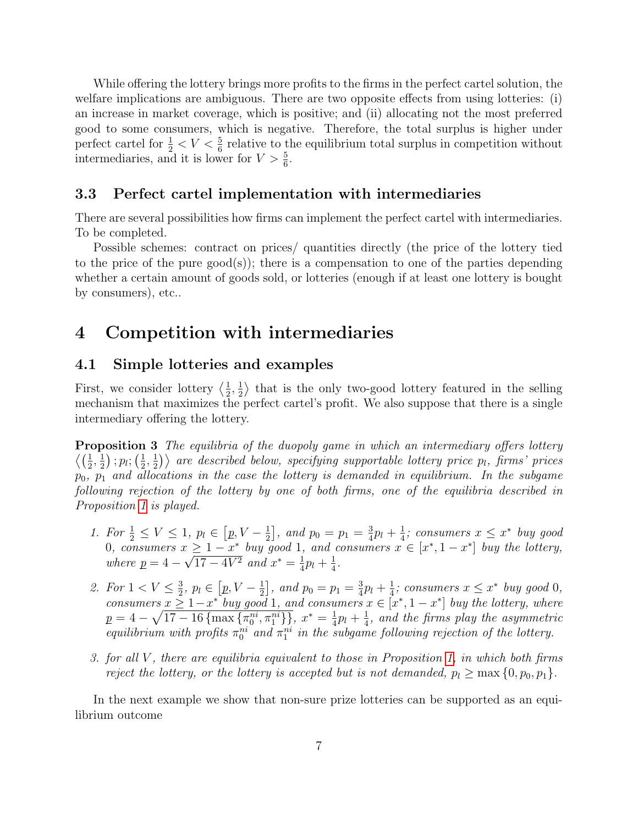While offering the lottery brings more profits to the firms in the perfect cartel solution, the welfare implications are ambiguous. There are two opposite effects from using lotteries: (i) an increase in market coverage, which is positive; and (ii) allocating not the most preferred good to some consumers, which is negative. Therefore, the total surplus is higher under perfect cartel for  $\frac{1}{2} < V < \frac{5}{6}$  relative to the equilibrium total surplus in competition without intermediaries, and it is lower for  $V > \frac{5}{6}$ .

### 3.3 Perfect cartel implementation with intermediaries

There are several possibilities how firms can implement the perfect cartel with intermediaries. To be completed.

Possible schemes: contract on prices/ quantities directly (the price of the lottery tied to the price of the pure  $\text{good}(s)$ ; there is a compensation to one of the parties depending whether a certain amount of goods sold, or lotteries (enough if at least one lottery is bought by consumers), etc..

### 4 Competition with intermediaries

### 4.1 Simple lotteries and examples

First, we consider lottery  $\langle \frac{1}{2} \rangle$  $\frac{1}{2}, \frac{1}{2}$  $\frac{1}{2}$  that is the only two-good lottery featured in the selling mechanism that maximizes the perfect cartel's profit. We also suppose that there is a single intermediary offering the lottery.

**Proposition 3** The equilibria of the duopoly game in which an intermediary offers lottery  $\langle (\frac{1}{2}, \frac{1}{2})$  $\frac{1}{2}$ ) ;  $p_l$ ;  $\left(\frac{1}{2}\right)$  $\frac{1}{2}, \frac{1}{2}$  $\ket{\frac{1}{2}}\rangle$  are described below, specifying supportable lottery price  $p_l$ , firms' prices  $p_0$ ,  $p_1$  and allocations in the case the lottery is demanded in equilibrium. In the subgame following rejection of the lottery by one of both firms, one of the equilibria described in Proposition [1](#page-3-1) is played.

- 1. For  $\frac{1}{2} \leq V \leq 1$ ,  $p_l \in [p, V \frac{1}{2}]$  $\frac{1}{2}$ , and  $p_0 = p_1 = \frac{3}{4}$  $\frac{3}{4}p_l + \frac{1}{4}$  $\frac{1}{4}$ ; consumers  $x \leq x^*$  buy good 0, consumers  $x \geq 1 - x^*$  buy good 1, and consumers  $x \in [x^*, 1 - x^*]$  buy the lottery, where  $p = 4 \mathfrak{c}_{\frac{1}{2}}$  $17-4V^2$  and  $x^*=\frac{1}{4}$  $rac{1}{4}p_l + \frac{1}{4}$  $\frac{1}{4}$ .
- 2. For  $1 < V \leq \frac{3}{2}$  $\frac{3}{2}, p_l \in [p, V - \frac{1}{2}]$  $\frac{1}{2}$ , and  $p_0 = p_1 = \frac{3}{4}$  $\frac{3}{4}p_l + \frac{1}{4}$  $\frac{1}{4}$ ; consumers  $x \leq x^*$  buy good 0, consumers  $x \geq 1-x^*$  buy good 1, and consumers  $x \in [x^*, 1-x^*]$  buy the lottery, where  $p=4-\sqrt{17-16\left\{\max\left\{\pi^{ni}_0,\pi^{ni}_1\right\}\right\}},~x^*=\frac{1}{4}$  $rac{1}{4}p_l + \frac{1}{4}$  $\frac{1}{4}$ , and the firms play the asymmetric equilibrium with profits  $\pi_0^{ni}$  and  $\pi_1^{ni}$  in the subgame following rejection of the lottery.
- 3. for all V , there are equilibria equivalent to those in Proposition [1,](#page-3-1) in which both firms reject the lottery, or the lottery is accepted but is not demanded,  $p_l \geq \max\{0, p_0, p_1\}.$

In the next example we show that non-sure prize lotteries can be supported as an equilibrium outcome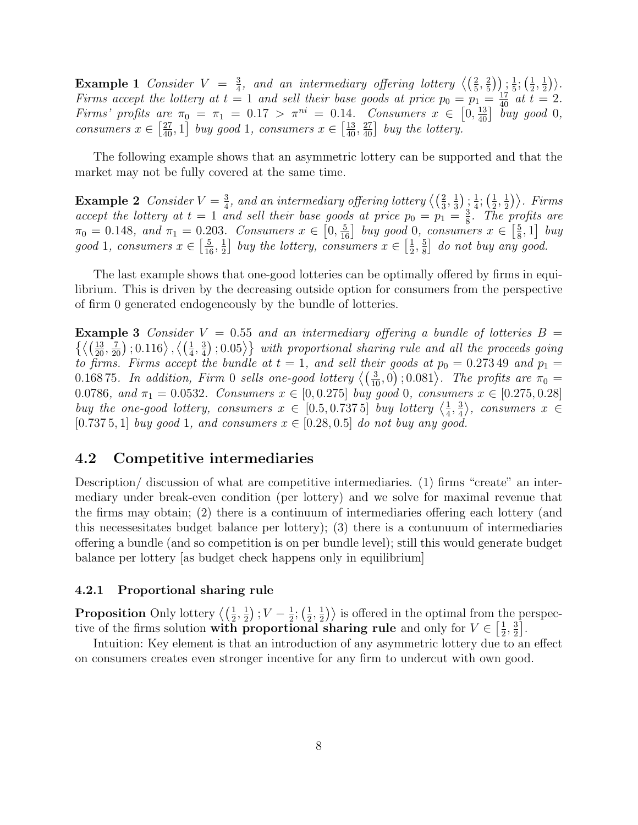**Example 1** Consider  $V = \frac{3}{4}$  $\frac{3}{4}$ , and an intermediary offering lottery  $\left\langle \left(\frac{2}{5}, \frac{2}{5}\right)\right\rangle$  $(\frac{2}{5})$ )  $\frac{1}{5}$  $\frac{1}{5}$ ;  $\left(\frac{1}{2}\right)$  $\frac{1}{2}, \frac{1}{2}$  $\frac{1}{2}\big)\big\rangle$  . Firms accept the lottery at  $t = 1$  and sell their base goods at price  $p_0 = p_1 = \frac{17}{40}$  at  $t = 2$ . Firms' profits are  $\pi_0 = \pi_1 = 0.17 > \pi^{ni} = 0.14$ . Consumers  $x \in [0, \frac{13}{40}]$  buy good 0, consumers  $x \in \left[\frac{27}{40}, 1\right]$  buy good 1, consumers  $x \in \left[\frac{13}{40}, \frac{27}{40}\right]$  buy the lottery.

The following example shows that an asymmetric lottery can be supported and that the market may not be fully covered at the same time.

**Example 2** Consider  $V = \frac{3}{4}$  $\frac{3}{4},$  and an intermediary offering lottery  $\left\langle\left(\frac{2}{3},\frac{1}{3}\right)\right\rangle$  $\frac{1}{3}$ );  $\frac{1}{4}$  $\frac{1}{4}$ ;  $\left(\frac{1}{2}\right)$  $\frac{1}{2}, \frac{1}{2}$  $\frac{1}{2})\big\rangle$ . Firms accept the lottery at  $t = 1$  and sell their base goods at price  $p_0 = p_1 = \frac{3}{8}$  $\frac{3}{8}$ . The profits are  $\pi_0 = 0.148$ , and  $\pi_1 = 0.203$ . Consumers  $x \in \left[0, \frac{5}{16}\right]$  buy good 0, consumers  $x \in \left[\frac{5}{8}\right]$  $\left[\frac{5}{8},1\right]$  buy good 1, consumers  $x \in \left[\frac{5}{16}, \frac{1}{2}\right]$  $\frac{1}{2}$  buy the lottery, consumers  $x \in \left[\frac{1}{2}\right]$  $\frac{1}{2}$ ,  $\frac{5}{8}$  $\left[\frac{5}{8}\right]$  do not buy any good.

The last example shows that one-good lotteries can be optimally offered by firms in equilibrium. This is driven by the decreasing outside option for consumers from the perspective of firm 0 generated endogeneously by the bundle of lotteries.

**Example 3** Consider  $V = 0.55$  and an intermediary offering a bundle of lotteries  $B =$  $\left\{ \left\langle \left(\frac{13}{20}, \frac{7}{20}\right), 0.116 \right\rangle, \left\langle \left(\frac{1}{4}, \frac{3}{4}\right)\right\} \right\}$  $\left\{ \frac{3}{4}\right\}$  ;  $0.05\big>\big\}$  with proportional sharing rule and all the proceeds going to firms. Firms accept the bundle at  $t = 1$ , and sell their goods at  $p_0 = 0.27349$  and  $p_1 =$ 0.16875. In addition, Firm 0 sells one-good lottery  $\langle \left(\frac{3}{10},0\right);0.081 \rangle$ . The profits are  $\pi_0 =$ 0.0786, and  $\pi_1 = 0.0532$ . Consumers  $x \in [0, 0.275]$  buy good 0, consumers  $x \in [0.275, 0.28]$ buy the one-good lottery, consumers  $x \in [0.5, 0.7375]$  buy lottery  $\left\langle \frac{1}{4}, \frac{1}{2}, \frac{1}{2}, \frac{1}{2}, \frac{1}{2}, \frac{1}{2} \right\rangle$  $\frac{1}{4}$ ,  $\frac{3}{4}$  $\frac{3}{4}$ , consumers  $x \in$ [0.737 5, 1] buy good 1, and consumers  $x \in [0.28, 0.5]$  do not buy any good.

#### 4.2 Competitive intermediaries

Description/ discussion of what are competitive intermediaries. (1) firms "create" an intermediary under break-even condition (per lottery) and we solve for maximal revenue that the firms may obtain; (2) there is a continuum of intermediaries offering each lottery (and this necessesitates budget balance per lottery); (3) there is a contunuum of intermediaries offering a bundle (and so competition is on per bundle level); still this would generate budget balance per lottery [as budget check happens only in equilibrium]

#### 4.2.1 Proportional sharing rule

Proposition Only lottery  $\left\langle \left(\frac{1}{2},\frac{1}{2}\right)\right\rangle$  $(\frac{1}{2})$ ;  $V - \frac{1}{2}$  $\frac{1}{2}$ ;  $\left(\frac{1}{2}\right)$  $\frac{1}{2}, \frac{1}{2}$  $\frac{1}{2}$ ) is offered in the optimal from the perspective of the firms solution with proportional sharing rule and only for  $V \in \left[\frac{1}{2}\right]$  $\frac{1}{2}, \frac{3}{2}$  $\frac{3}{2}$ .

Intuition: Key element is that an introduction of any asymmetric lottery due to an effect on consumers creates even stronger incentive for any firm to undercut with own good.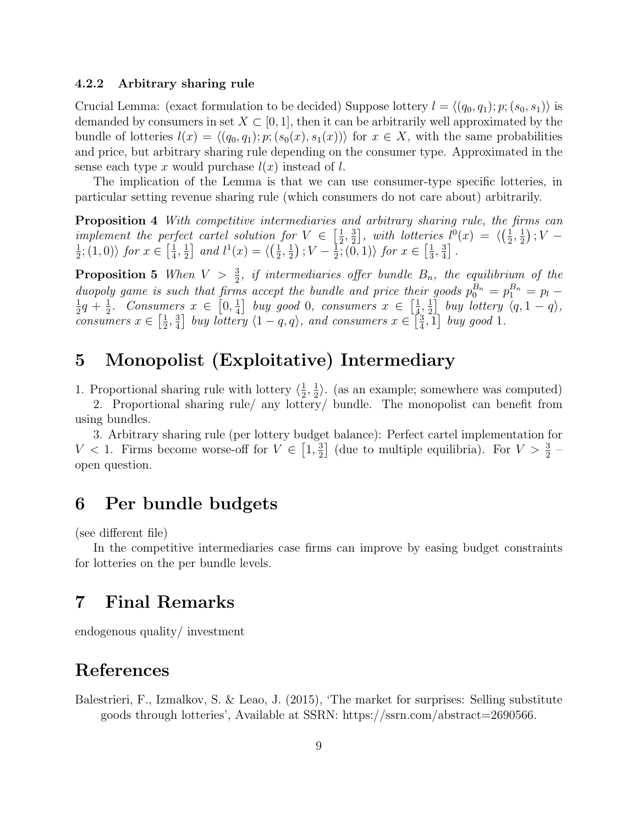#### 4.2.2 Arbitrary sharing rule

Crucial Lemma: (exact formulation to be decided) Suppose lottery  $l = \langle (q_0, q_1); p; (s_0, s_1) \rangle$  is demanded by consumers in set  $X \subset [0, 1]$ , then it can be arbitrarily well approximated by the bundle of lotteries  $l(x) = \langle (q_0, q_1); p; (s_0(x), s_1(x)) \rangle$  for  $x \in X$ , with the same probabilities and price, but arbitrary sharing rule depending on the consumer type. Approximated in the sense each type x would purchase  $l(x)$  instead of l.

The implication of the Lemma is that we can use consumer-type specific lotteries, in particular setting revenue sharing rule (which consumers do not care about) arbitrarily.

**Proposition 4** With competitive intermediaries and arbitrary sharing rule, the firms can implement the perfect cartel solution for  $V \in \left[\frac{1}{2}\right]$  $\frac{1}{2}, \frac{3}{2}$  $\left[\frac{3}{2}\right]$ , with lotteries  $l^0(x) = \langle \left(\frac{1}{2}\right)^2 \rangle$  $\frac{1}{2}, \frac{1}{2}$  $\frac{1}{2}$ );  $V$  – 1  $\frac{1}{2}$ ; (1,0)) for  $x \in \left[\frac{1}{4}\right]$  $\frac{1}{4}, \frac{1}{2}$  $\frac{1}{2}$  and  $l^1(x) = \langle \left(\frac{1}{2}\right)$  $\frac{1}{2}, \frac{1}{2}$  $\frac{1}{2}$ );  $V-\frac{1}{2}$  $\frac{1}{2}$ ;  $(0,1)$  for  $x \in \left[\frac{1}{3}\right]$  $\frac{1}{3}, \frac{3}{4}$  $\frac{3}{4}$ .

**Proposition 5** When  $V > \frac{3}{2}$ , if intermediaries offer bundle  $B_n$ , the equilibrium of the duopoly game is such that firms accept the bundle and price their goods  $p_0^{B_n} = p_1^{B_n} = p_l$ 1  $rac{1}{2}q + \frac{1}{2}$  $\frac{1}{2}$ . Consumers  $x \in [0, \frac{1}{4}]$  $\frac{1}{4}$  buy good 0, consumers  $x \in \left[\frac{1}{4}\right]$  $\frac{1}{4}$ ,  $\frac{1}{2}$  $\frac{1}{2}$  buy lottery  $\langle q, 1-q \rangle$ , consumers  $x \in \left[\frac{1}{2}\right]$  $\frac{1}{2}, \frac{3}{4}$  $\frac{3}{4}$  buy lottery  $\langle 1-q, q \rangle$ , and consumers  $x \in \left[\frac{3}{4}\right]$  $\left[\frac{3}{4}, 1\right]$  buy good 1.

## 5 Monopolist (Exploitative) Intermediary

1. Proportional sharing rule with lottery  $\langle \frac{1}{2} \rangle$  $\frac{1}{2}, \frac{1}{2}$  $\frac{1}{2}$ . (as an example; somewhere was computed)

2. Proportional sharing rule/ any lottery/ bundle. The monopolist can benefit from using bundles.

3. Arbitrary sharing rule (per lottery budget balance): Perfect cartel implementation for  $V < 1$ . Firms become worse-off for  $V \in \left[1, \frac{3}{2}\right]$  $\frac{3}{2}$  (due to multiple equilibria). For  $V > \frac{3}{2}$ open question.

### 6 Per bundle budgets

(see different file)

In the competitive intermediaries case firms can improve by easing budget constraints for lotteries on the per bundle levels.

### 7 Final Remarks

endogenous quality/ investment

## References

Balestrieri, F., Izmalkov, S. & Leao, J. (2015), 'The market for surprises: Selling substitute goods through lotteries', Available at SSRN: https://ssrn.com/abstract=2690566.